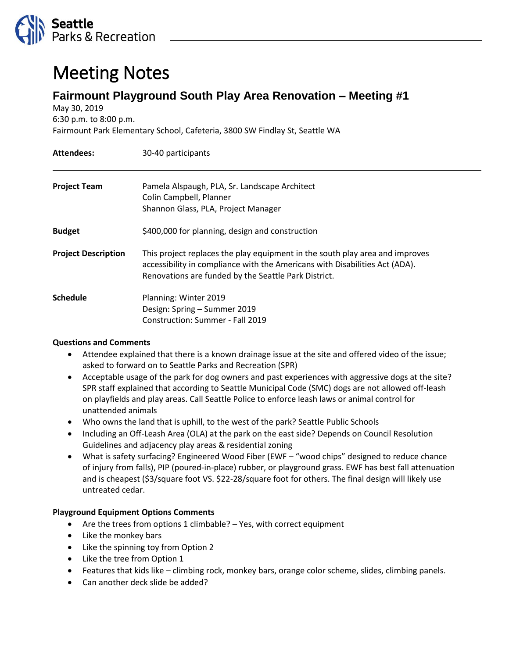

## Meeting Notes

## **Fairmount Playground South Play Area Renovation – Meeting #1**

May 30, 2019 6:30 p.m. to 8:00 p.m.

Fairmount Park Elementary School, Cafeteria, 3800 SW Findlay St, Seattle WA

| <b>Attendees:</b>          | 30-40 participants                                                                                                                                                                                                  |
|----------------------------|---------------------------------------------------------------------------------------------------------------------------------------------------------------------------------------------------------------------|
| <b>Project Team</b>        | Pamela Alspaugh, PLA, Sr. Landscape Architect<br>Colin Campbell, Planner<br>Shannon Glass, PLA, Project Manager                                                                                                     |
| <b>Budget</b>              | \$400,000 for planning, design and construction                                                                                                                                                                     |
| <b>Project Description</b> | This project replaces the play equipment in the south play area and improves<br>accessibility in compliance with the Americans with Disabilities Act (ADA).<br>Renovations are funded by the Seattle Park District. |
| <b>Schedule</b>            | Planning: Winter 2019<br>Design: Spring - Summer 2019<br>Construction: Summer - Fall 2019                                                                                                                           |

## **Questions and Comments**

- Attendee explained that there is a known drainage issue at the site and offered video of the issue; asked to forward on to Seattle Parks and Recreation (SPR)
- Acceptable usage of the park for dog owners and past experiences with aggressive dogs at the site? SPR staff explained that according to Seattle Municipal Code (SMC) dogs are not allowed off-leash on playfields and play areas. Call Seattle Police to enforce leash laws or animal control for unattended animals
- Who owns the land that is uphill, to the west of the park? Seattle Public Schools
- Including an Off-Leash Area (OLA) at the park on the east side? Depends on Council Resolution Guidelines and adjacency play areas & residential zoning
- What is safety surfacing? Engineered Wood Fiber (EWF "wood chips" designed to reduce chance of injury from falls), PIP (poured-in-place) rubber, or playground grass. EWF has best fall attenuation and is cheapest (\$3/square foot VS. \$22-28/square foot for others. The final design will likely use untreated cedar.

## **Playground Equipment Options Comments**

- Are the trees from options 1 climbable? Yes, with correct equipment
- Like the monkey bars
- Like the spinning toy from Option 2
- Like the tree from Option 1
- Features that kids like climbing rock, monkey bars, orange color scheme, slides, climbing panels.
- Can another deck slide be added?